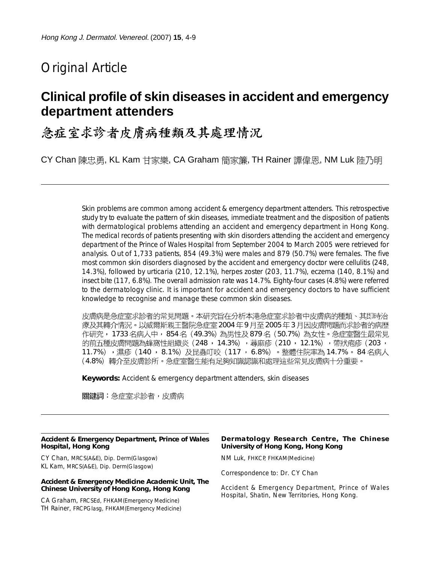# Original Article

# **Clinical profile of skin diseases in accident and emergency department attenders**

# 急症室求診者皮膚病種類及其處理情況

CY Chan 陳忠勇, KL Kam 甘家樂, CA Graham 簡家簾, TH Rainer 譚偉恩, NM Luk 陸乃明

Skin problems are common among accident & emergency department attenders. This retrospective study try to evaluate the pattern of skin diseases, immediate treatment and the disposition of patients with dermatological problems attending an accident and emergency department in Hong Kong. The medical records of patients presenting with skin disorders attending the accident and emergency department of the Prince of Wales Hospital from September 2004 to March 2005 were retrieved for analysis. Out of 1,733 patients, 854 (49.3%) were males and 879 (50.7%) were females. The five most common skin disorders diagnosed by the accident and emergency doctor were cellulitis (248, 14.3%), followed by urticaria (210, 12.1%), herpes zoster (203, 11.7%), eczema (140, 8.1%) and insect bite (117, 6.8%). The overall admission rate was 14.7%. Eighty-four cases (4.8%) were referred to the dermatology clinic. It is important for accident and emergency doctors to have sufficient knowledge to recognise and manage these common skin diseases.

皮膚病是急症室求診者的常見問題。本研究旨在分析本港急症室求診者中皮膚病的種類、其即時治 療及其轉介情況。以威爾斯親王醫院急症室 2004 年 9 月至 2005 年 3 月因皮膚問題而求診者的病歷 作研究, 1733 名病人中, 854 名(49.3%)為男性及 879 名(50.7%)為女性。急症室醫生最常見 的前五種皮膚問題為蜂窩性組織炎(248,14.3%),蕁麻疹(210,12.1%),帶狀疱疹(203, 11.7% ),濕疹(140 ,8.1%)及昆蟲叮咬(117 ,6.8%)。整體住院率為 14.7% 。84 名病人 (4.8%)轉介至皮膚診所。急症室醫生能有足夠知識認識和處理這些常見皮膚病十分重要。

**Keywords:** Accident & emergency department attenders, skin diseases

關鍵詞:急症室求診者,皮膚病

#### **Accident & Emergency Department, Prince of Wales Hospital, Hong Kong**

CY Chan, MRCS(A&E), Dip. Derm(Glasgow) KL Kam, MRCS(A&E), Dip. Derm(Glasgow)

#### **Accident & Emergency Medicine Academic Unit, The Chinese University of Hong Kong, Hong Kong**

CA Graham, FRCSEd, FHKAM(Emergency Medicine) TH Rainer, FRCPGlasg, FHKAM(Emergency Medicine)

### **Dermatology Research Centre, The Chinese University of Hong Kong, Hong Kong**

NM Luk, FHKCP, FHKAM(Medicine)

Correspondence to: Dr. CY Chan

Accident & Emergency Department, Prince of Wales Hospital, Shatin, New Territories, Hong Kong.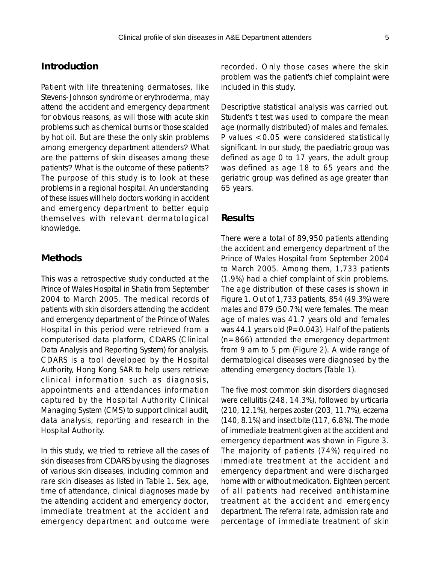## **Introduction**

Patient with life threatening dermatoses, like Stevens-Johnson syndrome or erythroderma, may attend the accident and emergency department for obvious reasons, as will those with acute skin problems such as chemical burns or those scalded by hot oil. But are these the only skin problems among emergency department attenders? What are the patterns of skin diseases among these patients? What is the outcome of these patients? The purpose of this study is to look at these problems in a regional hospital. An understanding of these issues will help doctors working in accident and emergency department to better equip themselves with relevant dermatological knowledge.

## **Methods**

This was a retrospective study conducted at the Prince of Wales Hospital in Shatin from September 2004 to March 2005. The medical records of patients with skin disorders attending the accident and emergency department of the Prince of Wales Hospital in this period were retrieved from a computerised data platform, CDARS (Clinical Data Analysis and Reporting System) for analysis. CDARS is a tool developed by the Hospital Authority, Hong Kong SAR to help users retrieve clinical information such as diagnosis, appointments and attendances information captured by the Hospital Authority Clinical Managing System (CMS) to support clinical audit, data analysis, reporting and research in the Hospital Authority.

In this study, we tried to retrieve all the cases of skin diseases from CDARS by using the diagnoses of various skin diseases, including common and rare skin diseases as listed in Table 1. Sex, age, time of attendance, clinical diagnoses made by the attending accident and emergency doctor, immediate treatment at the accident and emergency department and outcome were

recorded. Only those cases where the skin problem was the patient's chief complaint were included in this study.

Descriptive statistical analysis was carried out. Student's *t* test was used to compare the mean age (normally distributed) of males and females. P values <0.05 were considered statistically significant. In our study, the paediatric group was defined as age 0 to 17 years, the adult group was defined as age 18 to 65 years and the geriatric group was defined as age greater than 65 years.

### **Results**

There were a total of 89,950 patients attending the accident and emergency department of the Prince of Wales Hospital from September 2004 to March 2005. Among them, 1,733 patients (1.9%) had a chief complaint of skin problems. The age distribution of these cases is shown in Figure 1. Out of 1,733 patients, 854 (49.3%) were males and 879 (50.7%) were females. The mean age of males was 41.7 years old and females was 44.1 years old  $(P=0.043)$ . Half of the patients (n=866) attended the emergency department from 9 am to 5 pm (Figure 2). A wide range of dermatological diseases were diagnosed by the attending emergency doctors (Table 1).

The five most common skin disorders diagnosed were cellulitis (248, 14.3%), followed by urticaria (210, 12.1%), herpes zoster (203, 11.7%), eczema (140, 8.1%) and insect bite (117, 6.8%). The mode of immediate treatment given at the accident and emergency department was shown in Figure 3. The majority of patients (74%) required no immediate treatment at the accident and emergency department and were discharged home with or without medication. Eighteen percent of all patients had received antihistamine treatment at the accident and emergency department. The referral rate, admission rate and percentage of immediate treatment of skin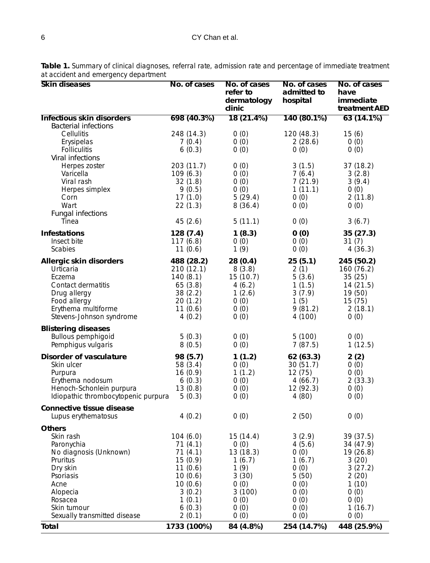| Skin diseases                                | No. of cases        | No. of cases<br>refer to<br>dermatology<br>clinic | No. of cases<br>admitted to<br>hospital | No. of cases<br>have<br>immediate<br>treatment AED |
|----------------------------------------------|---------------------|---------------------------------------------------|-----------------------------------------|----------------------------------------------------|
| <b>Infectious skin disorders</b>             | 698 (40.3%)         | 18 (21.4%)                                        | 140 (80.1%)                             | 63(14.1%)                                          |
| <b>Bacterial infections</b><br>Cellulitis    | 248 (14.3)          | 0(0)                                              | 120 (48.3)                              | 15(6)                                              |
| Erysipelas                                   | 7(0.4)              | 0(0)                                              | 2(28.6)                                 | O(0)                                               |
| <b>Folliculitis</b>                          | 6(0.3)              | 0(0)                                              | 0(0)                                    | O(0)                                               |
| Viral infections                             |                     |                                                   |                                         |                                                    |
| Herpes zoster                                | 203 (11.7)          | 0(0)                                              | 3(1.5)                                  | 37(18.2)                                           |
| Varicella<br>Viral rash                      | 109(6.3)<br>32(1.8) | O(0)<br>0(0)                                      | 7(6.4)<br>7(21.9)                       | 3(2.8)<br>3(9.4)                                   |
| Herpes simplex                               | 9(0.5)              | 0(0)                                              | 1(11.1)                                 | 0(0)                                               |
| Corn                                         | 17(1.0)             | 5(29.4)                                           | 0(0)                                    | 2(11.8)                                            |
| Wart                                         | 22(1.3)             | 8(36.4)                                           | 0(0)                                    | 0(0)                                               |
| Fungal infections                            |                     |                                                   |                                         |                                                    |
| Tinea                                        | 45(2.6)             | 5(11.1)                                           | 0(0)                                    | 3(6.7)                                             |
| <b>Infestations</b>                          | 128(7.4)            | 1(8.3)                                            | 0(0)                                    | 35(27.3)                                           |
| Insect bite                                  | 117(6.8)            | 0(0)                                              | 0(0)                                    | 31(7)                                              |
| Scabies                                      | 11(0.6)             | 1(9)                                              | 0(0)                                    | 4(36.3)                                            |
| Allergic skin disorders                      | 488 (28.2)          | 28(0.4)                                           | 25(5.1)                                 | 245 (50.2)                                         |
| Urticaria                                    | 210(12.1)           | 8(3.8)                                            | 2(1)                                    | 160 (76.2)                                         |
| Eczema<br>Contact dermatitis                 | 140(8.1)<br>65(3.8) | 15(10.7)<br>4(6.2)                                | 5(3.6)<br>1(1.5)                        | 35(25)<br>14(21.5)                                 |
| Drug allergy                                 | 38(2.2)             | 1(2.6)                                            | 3(7.9)                                  | 19 (50)                                            |
| Food allergy                                 | 20(1.2)             | 0(0)                                              | 1(5)                                    | 15(75)                                             |
| Erythema multiforme                          | 11(0.6)             | 0(0)                                              | 9(81.2)                                 | 2(18.1)                                            |
| Stevens-Johnson syndrome                     | 4(0.2)              | 0(0)                                              | 4 (100)                                 | 0(0)                                               |
| <b>Blistering diseases</b>                   |                     |                                                   |                                         |                                                    |
| <b>Bullous pemphigoid</b>                    | 5(0.3)              | 0(0)                                              | 5(100)                                  | 0(0)                                               |
| Pemphigus vulgaris                           | 8(0.5)              | 0(0)                                              | 7(87.5)                                 | 1(12.5)                                            |
| Disorder of vasculature                      | 98 (5.7)            | 1(1.2)                                            | 62(63.3)                                | 2(2)                                               |
| Skin ulcer                                   | 58 (3.4)            | 0(0)                                              | 30(51.7)                                | O(0)                                               |
| Purpura                                      | 16(0.9)             | 1(1.2)                                            | 12(75)                                  | O(0)                                               |
| Erythema nodosum<br>Henoch-Schonlein purpura | 6(0.3)<br>13(0.8)   | 0(0)<br>0(0)                                      | 4(66.7)<br>12(92.3)                     | 2(33.3)<br>0(0)                                    |
| Idiopathic thrombocytopenic purpura          | 5(0.3)              | 0(0)                                              | 4(80)                                   | 0(0)                                               |
| Connective tissue disease                    |                     |                                                   |                                         |                                                    |
| Lupus erythematosus                          | 4(0.2)              | O(0)                                              | 2(50)                                   | 0(0)                                               |
| <b>Others</b>                                |                     |                                                   |                                         |                                                    |
| Skin rash                                    | 104(6.0)            | 15(14.4)                                          | 3(2.9)                                  | 39 (37.5)                                          |
| Paronychia                                   | 71(4.1)             | 0(0)                                              | 4(5.6)                                  | 34 (47.9)                                          |
| No diagnosis (Unknown)                       | 71(4.1)             | 13(18.3)                                          | 0(0)                                    | 19(26.8)                                           |
| Pruritus                                     | 15(0.9)             | 1(6.7)                                            | 1(6.7)                                  | 3(20)                                              |
| Dry skin<br>Psoriasis                        | 11(0.6)<br>10(0.6)  | 1(9)<br>3(30)                                     | 0(0)<br>5 (50)                          | 3(27.2)<br>2(20)                                   |
| Acne                                         | 10(0.6)             | 0(0)                                              | 0(0)                                    | 1(10)                                              |
| Alopecia                                     | 3(0.2)              | 3(100)                                            | 0(0)                                    | 0(0)                                               |
| Rosacea                                      | 1(0.1)              | O(0)                                              | 0(0)                                    | 0(0)                                               |
| Skin tumour                                  | 6(0.3)              | O(0)                                              | 0(0)                                    | 1(16.7)                                            |
| Sexually transmitted disease                 | 2(0.1)              | 0(0)                                              | 0(0)                                    | 0(0)                                               |
| Total                                        | 1733 (100%)         | 84 (4.8%)                                         | 254 (14.7%)                             | 448 (25.9%)                                        |

**Table 1.** Summary of clinical diagnoses, referral rate, admission rate and percentage of immediate treatment at accident and emergency department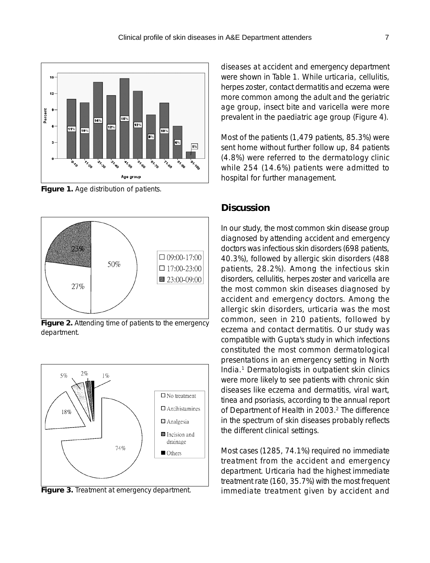

**Figure 1.** Age distribution of patients.



**Figure 2.** Attending time of patients to the emergency department.



**Figure 3.** Treatment at emergency department.

diseases at accident and emergency department were shown in Table 1. While urticaria, cellulitis, herpes zoster, contact dermatitis and eczema were more common among the adult and the geriatric age group, insect bite and varicella were more prevalent in the paediatric age group (Figure 4).

Most of the patients (1,479 patients, 85.3%) were sent home without further follow up, 84 patients (4.8%) were referred to the dermatology clinic while 254 (14.6%) patients were admitted to hospital for further management.

## **Discussion**

In our study, the most common skin disease group diagnosed by attending accident and emergency doctors was infectious skin disorders (698 patients, 40.3%), followed by allergic skin disorders (488 patients, 28.2%). Among the infectious skin disorders, cellulitis, herpes zoster and varicella are the most common skin diseases diagnosed by accident and emergency doctors. Among the allergic skin disorders, urticaria was the most common, seen in 210 patients, followed by eczema and contact dermatitis. Our study was compatible with Gupta's study in which infections constituted the most common dermatological presentations in an emergency setting in North India.1 Dermatologists in outpatient skin clinics were more likely to see patients with chronic skin diseases like eczema and dermatitis, viral wart, tinea and psoriasis, according to the annual report of Department of Health in 2003.<sup>2</sup> The difference in the spectrum of skin diseases probably reflects the different clinical settings.

Most cases (1285, 74.1%) required no immediate treatment from the accident and emergency department. Urticaria had the highest immediate treatment rate (160, 35.7%) with the most frequent immediate treatment given by accident and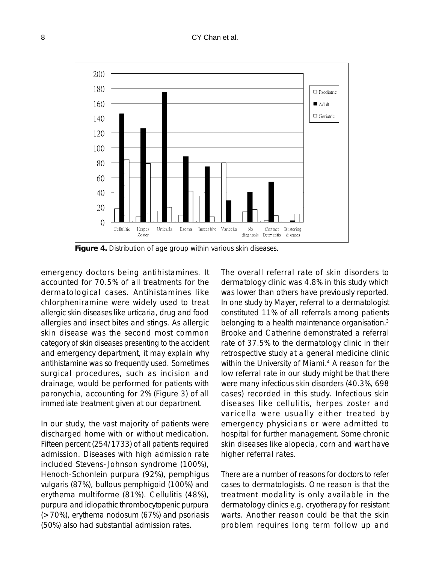### 8 CY Chan et al.



**Figure 4.** Distribution of age group within various skin diseases.

emergency doctors being antihistamines. It accounted for 70.5% of all treatments for the dermatological cases. Antihistamines like chlorpheniramine were widely used to treat allergic skin diseases like urticaria, drug and food allergies and insect bites and stings. As allergic skin disease was the second most common category of skin diseases presenting to the accident and emergency department, it may explain why antihistamine was so frequently used. Sometimes surgical procedures, such as incision and drainage, would be performed for patients with paronychia, accounting for 2% (Figure 3) of all immediate treatment given at our department.

In our study, the vast majority of patients were discharged home with or without medication. Fifteen percent (254/1733) of all patients required admission. Diseases with high admission rate included Stevens-Johnson syndrome (100%), Henoch-Schonlein purpura (92%), pemphigus vulgaris (87%), bullous pemphigoid (100%) and erythema multiforme (81%). Cellulitis (48%), purpura and idiopathic thrombocytopenic purpura (>70%), erythema nodosum (67%) and psoriasis (50%) also had substantial admission rates.

The overall referral rate of skin disorders to dermatology clinic was 4.8% in this study which was lower than others have previously reported. In one study by Mayer, referral to a dermatologist constituted 11% of all referrals among patients belonging to a health maintenance organisation.<sup>3</sup> Brooke and Catherine demonstrated a referral rate of 37.5% to the dermatology clinic in their retrospective study at a general medicine clinic within the University of Miami.<sup>4</sup> A reason for the low referral rate in our study might be that there were many infectious skin disorders (40.3%, 698 cases) recorded in this study. Infectious skin diseases like cellulitis, herpes zoster and varicella were usually either treated by emergency physicians or were admitted to hospital for further management. Some chronic skin diseases like alopecia, corn and wart have higher referral rates.

There are a number of reasons for doctors to refer cases to dermatologists. One reason is that the treatment modality is only available in the dermatology clinics e.g. cryotherapy for resistant warts. Another reason could be that the skin problem requires long term follow up and